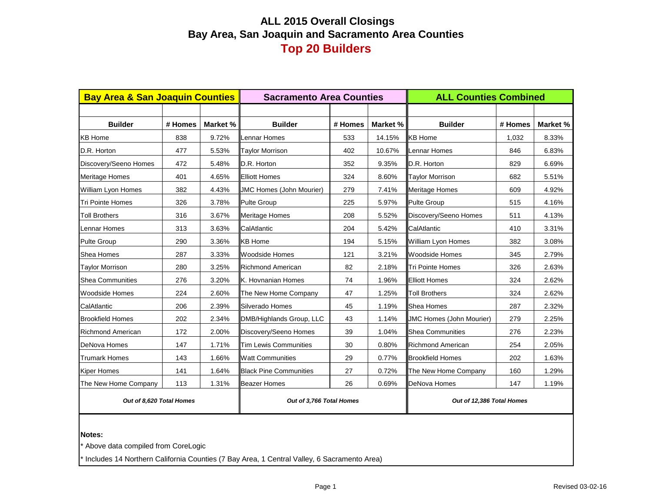# **ALL 2015 Overall Closings Bay Area, San Joaquin and Sacramento Area Counties Top 20 Builders**

| <b>Bay Area &amp; San Joaquin Counties</b> |         |          | <b>Sacramento Area Counties</b> |         |          | <b>ALL Counties Combined</b>    |         |          |  |  |
|--------------------------------------------|---------|----------|---------------------------------|---------|----------|---------------------------------|---------|----------|--|--|
|                                            |         |          |                                 |         |          |                                 |         |          |  |  |
| <b>Builder</b>                             | # Homes | Market % | <b>Builder</b>                  | # Homes | Market % | <b>Builder</b>                  | # Homes | Market % |  |  |
| <b>KB Home</b>                             | 838     | 9.72%    | Lennar Homes                    | 533     | 14.15%   | <b>KB Home</b>                  | 1,032   | 8.33%    |  |  |
| D.R. Horton                                | 477     | 5.53%    | <b>Taylor Morrison</b>          | 402     | 10.67%   | <b>Lennar Homes</b>             | 846     | 6.83%    |  |  |
| Discovery/Seeno Homes                      | 472     | 5.48%    | D.R. Horton                     | 352     | 9.35%    | D.R. Horton                     | 829     | 6.69%    |  |  |
| Meritage Homes                             | 401     | 4.65%    | <b>Elliott Homes</b>            | 324     | 8.60%    | <b>Taylor Morrison</b>          | 682     | 5.51%    |  |  |
| William Lyon Homes                         | 382     | 4.43%    | <b>JMC Homes (John Mourier)</b> | 279     | 7.41%    | <b>Meritage Homes</b>           | 609     | 4.92%    |  |  |
| Tri Pointe Homes                           | 326     | 3.78%    | <b>Pulte Group</b>              | 225     | 5.97%    | <b>Pulte Group</b>              | 515     | 4.16%    |  |  |
| <b>Toll Brothers</b>                       | 316     | 3.67%    | <b>Meritage Homes</b>           | 208     | 5.52%    | Discovery/Seeno Homes           | 511     | 4.13%    |  |  |
| Lennar Homes                               | 313     | 3.63%    | CalAtlantic                     | 204     | 5.42%    | CalAtlantic                     | 410     | 3.31%    |  |  |
| <b>Pulte Group</b>                         | 290     | 3.36%    | <b>KB Home</b>                  | 194     | 5.15%    | William Lyon Homes              | 382     | 3.08%    |  |  |
| Shea Homes                                 | 287     | 3.33%    | <b>Woodside Homes</b>           | 121     | 3.21%    | <b>Woodside Homes</b>           | 345     | 2.79%    |  |  |
| Taylor Morrison                            | 280     | 3.25%    | <b>Richmond American</b>        | 82      | 2.18%    | <b>Tri Pointe Homes</b>         | 326     | 2.63%    |  |  |
| <b>Shea Communities</b>                    | 276     | 3.20%    | K. Hovnanian Homes              | 74      | 1.96%    | <b>Elliott Homes</b>            | 324     | 2.62%    |  |  |
| Woodside Homes                             | 224     | 2.60%    | The New Home Company            | 47      | 1.25%    | <b>Toll Brothers</b>            | 324     | 2.62%    |  |  |
| CalAtlantic                                | 206     | 2.39%    | Silverado Homes                 | 45      | 1.19%    | <b>Shea Homes</b>               | 287     | 2.32%    |  |  |
| <b>Brookfield Homes</b>                    | 202     | 2.34%    | DMB/Highlands Group, LLC        | 43      | 1.14%    | <b>JMC Homes (John Mourier)</b> | 279     | 2.25%    |  |  |
| Richmond American                          | 172     | 2.00%    | Discovery/Seeno Homes           | 39      | 1.04%    | Shea Communities                | 276     | 2.23%    |  |  |
| DeNova Homes                               | 147     | 1.71%    | <b>Tim Lewis Communities</b>    | 30      | 0.80%    | <b>Richmond American</b>        | 254     | 2.05%    |  |  |
| <b>Trumark Homes</b>                       | 143     | 1.66%    | <b>Watt Communities</b>         | 29      | 0.77%    | <b>Brookfield Homes</b>         | 202     | 1.63%    |  |  |
| Kiper Homes                                | 141     | 1.64%    | <b>Black Pine Communities</b>   | 27      | 0.72%    | The New Home Company            | 160     | 1.29%    |  |  |
| The New Home Company                       | 113     | 1.31%    | <b>Beazer Homes</b>             | 26      | 0.69%    | DeNova Homes                    | 147     | 1.19%    |  |  |
| Out of 8,620 Total Homes                   |         |          | Out of 3,766 Total Homes        |         |          | Out of 12,386 Total Homes       |         |          |  |  |
|                                            |         |          |                                 |         |          |                                 |         |          |  |  |

#### **Notes:**

\* Above data compiled from CoreLogic

Includes 14 Northern California Counties (7 Bay Area, 1 Central Valley, 6 Sacramento Area)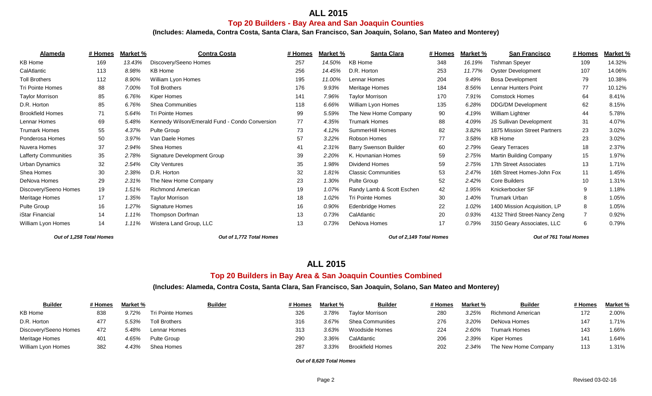# **ALL 2015**

### **Top 20 Builders - Bay Area and San Joaquin Counties**

**(Includes: Alameda, Contra Costa, Santa Clara, San Francisco, San Joaquin, Solano, San Mateo and Monterey)**

| Alameda                     | # Homes | Market % | <b>Contra Costa</b>                            | # Homes | Market % | Santa Clara                  | # Homes | Market % | <b>San Francisco</b>         | # Homes | Market % |
|-----------------------------|---------|----------|------------------------------------------------|---------|----------|------------------------------|---------|----------|------------------------------|---------|----------|
| KB Home                     | 169     | 13.43%   | Discovery/Seeno Homes                          | 257     | 14.50%   | <b>KB Home</b>               | 348     | 16.19%   | Tishman Speyer               | 109     | 14.32%   |
| CalAtlantic                 | 113     | 8.98%    | <b>KB Home</b>                                 | 256     | 14.45%   | D.R. Horton                  | 253     | 11.77%   | <b>Oyster Development</b>    | 107     | 14.06%   |
| <b>Toll Brothers</b>        | 112     | 8.90%    | William Lyon Homes                             | 195     | 11.00%   | Lennar Homes                 | 204     | 9.49%    | <b>Bosa Development</b>      | 79      | 10.38%   |
| Tri Pointe Homes            | 88      | 7.00%    | <b>Toll Brothers</b>                           | 176     | 9.93%    | Meritage Homes               | 184     | 8.56%    | <b>Lennar Hunters Point</b>  | 77      | 10.12%   |
| <b>Taylor Morrison</b>      | 85      | 6.76%    | Kiper Homes                                    | 141     | 7.96%    | <b>Taylor Morrison</b>       | 170     | 7.91%    | <b>Comstock Homes</b>        | 64      | 8.41%    |
| D.R. Horton                 | 85      | 6.76%    | <b>Shea Communities</b>                        | 118     | 6.66%    | William Lyon Homes           | 135     | 6.28%    | <b>DDG/DM Development</b>    | 62      | 8.15%    |
| <b>Brookfield Homes</b>     | 71      | 5.64%    | <b>Tri Pointe Homes</b>                        | 99      | 5.59%    | The New Home Company         | 90      | 4.19%    | William Lightner             | 44      | 5.78%    |
| Lennar Homes                | 69      | 5.48%    | Kennedy Wilson/Emerald Fund - Condo Conversion | 77      | 4.35%    | Trumark Homes                | 88      | 4.09%    | JS Sullivan Development      | 31      | 4.07%    |
| <b>Trumark Homes</b>        | 55      | 4.37%    | Pulte Group                                    | 73      | 4.12%    | SummerHill Homes             | 82      | 3.82%    | 1875 Mission Street Partners | 23      | 3.02%    |
| Ponderosa Homes             | 50      | 3.97%    | Van Daele Homes                                | 57      | 3.22%    | Robson Homes                 | 77      | 3.58%    | <b>KB Home</b>               | 23      | 3.02%    |
| Nuvera Homes                | 37      | 2.94%    | Shea Homes                                     | 41      | 2.31%    | <b>Barry Swenson Builder</b> | 60      | 2.79%    | <b>Geary Terraces</b>        | 18      | 2.37%    |
| <b>Lafferty Communities</b> | 35      | 2.78%    | Signature Development Group                    | 39      | 2.20%    | K. Hovnanian Homes           | 59      | 2.75%    | Martin Building Company      | 15      | 1.97%    |
| Urban Dynamics              | 32      | 2.54%    | <b>City Ventures</b>                           | 35      | 1.98%    | Dividend Homes               | 59      | 2.75%    | 17th Street Associates       | 13      | 1.71%    |
| Shea Homes                  | 30      | 2.38%    | D.R. Horton                                    | 32      | 1.81%    | <b>Classic Communities</b>   | 53      | 2.47%    | 16th Street Homes-John Fox   | 11      | 1.45%    |
| DeNova Homes                | 29      | 2.31%    | The New Home Company                           | 23      | 1.30%    | <b>Pulte Group</b>           | 52      | 2.42%    | Core Builders                | 10      | 1.31%    |
| Discovery/Seeno Homes       | 19      | 1.51%    | <b>Richmond American</b>                       | 19      | 1.07%    | Randy Lamb & Scott Eschen    | 42      | 1.95%    | Knickerbocker SF             | 9       | 1.18%    |
| Meritage Homes              | 17      | 1.35%    | Taylor Morrison                                | 18      | 1.02%    | Tri Pointe Homes             | 30      | 1.40%    | Trumark Urban                |         | 1.05%    |
| Pulte Group                 | 16      | 1.27%    | Signature Homes                                | 16      | 0.90%    | Edenbridge Homes             | 22      | 1.02%    | 1400 Mission Acquisition, LP |         | 1.05%    |
| iStar Financial             | 14      | 1.11%    | Thompson Dorfman                               | 13      | 0.73%    | CalAtlantic                  | 20      | 0.93%    | 4132 Third Street-Nancy Zeng |         | 0.92%    |
| William Lyon Homes          | 14      | 1.11%    | Wistera Land Group, LLC                        | 13      | 0.73%    | DeNova Homes                 | 17      | 0.79%    | 3150 Geary Associates, LLC   | 6       | 0.79%    |

*Out of 1,258 Total Homes Out of 1,772 Total Homes Out of 2,149 Total Homes Out of 761 Total Homes*

## **ALL 2015**

#### **Top 20 Builders in Bay Area & San Joaquin Counties Combined**

**(Includes: Alameda, Contra Costa, Santa Clara, San Francisco, San Joaquin, Solano, San Mateo and Monterey)**

| <b>Builder</b>        | # Homes | Market % |                      | <b>Builder</b> | # Homes | Market % | <b>Builder</b>          | # Homes | Market % | <b>Builder</b>       | # Homes | Market % |
|-----------------------|---------|----------|----------------------|----------------|---------|----------|-------------------------|---------|----------|----------------------|---------|----------|
| KB Home               | 838     | 9.72%    | Tri Pointe Homes     |                | 326     | 3.78%    | <b>Taylor Morrison</b>  | 280     | 3.25%    | Richmond American    | 172     | 2.00%    |
| D.R. Horton           |         | 5.53%    | <b>Toll Brothers</b> |                | 316     | 3.67%    | <b>Shea Communities</b> | 276     | 3.20%    | DeNova Homes         | 147     | 1.71%    |
| Discovery/Seeno Homes | 472     | 5.48%    | Lennar Homes         |                | 313     | 3.63%    | Woodside Homes          | 224     | 2.60%    | Trumark Homes        | 143     | '.66%    |
| Meritage Homes        | 401     | 4.65%    | <b>Pulte Group</b>   |                | 290     | 3.36%    | CalAtlantic             | 206     | 2.39%    | Kiper Homes          |         | 1.64%    |
| William Lyon Homes    | 382     | 4.43%    | Shea Homes           |                | 287     | $3.33\%$ | <b>Brookfield Homes</b> | 202     | 2.34%    | The New Home Company | 113     | 1.31%    |

*Out of 8,620 Total Homes*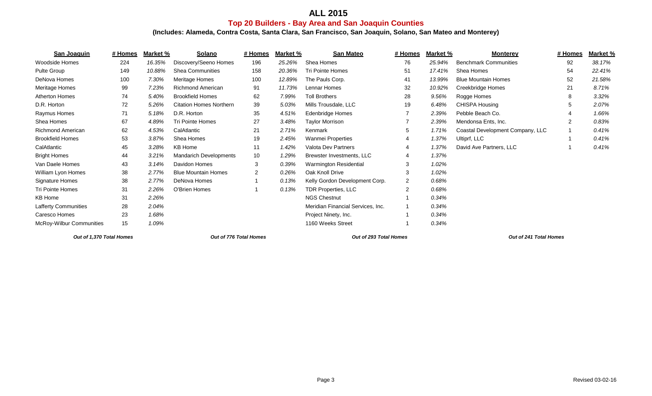# **ALL 2015**

#### **Top 20 Builders - Bay Area and San Joaquin Counties**

**(Includes: Alameda, Contra Costa, Santa Clara, San Francisco, San Joaquin, Solano, San Mateo and Monterey)**

| San Joaquin                 | # Homes | Market % | Solano                         | # Homes         | Market % | <b>San Mateo</b>                  | # Homes        | Market % | <b>Monterey</b>                  | # Homes | Market % |
|-----------------------------|---------|----------|--------------------------------|-----------------|----------|-----------------------------------|----------------|----------|----------------------------------|---------|----------|
| Woodside Homes              | 224     | 16.35%   | Discovery/Seeno Homes          | 196             | 25.26%   | Shea Homes                        | 76             | 25.94%   | <b>Benchmark Communities</b>     | 92      | 38.17%   |
| Pulte Group                 | 149     | 10.88%   | <b>Shea Communities</b>        | 158             | 20.36%   | Tri Pointe Homes                  | 51             | 17.41%   | Shea Homes                       | 54      | 22.41%   |
| DeNova Homes                | 100     | 7.30%    | Meritage Homes                 | 100             | 12.89%   | The Pauls Corp.                   | 41             | 13.99%   | <b>Blue Mountain Homes</b>       | 52      | 21.58%   |
| Meritage Homes              | 99      | 7.23%    | <b>Richmond American</b>       | 91              | 11.73%   | Lennar Homes                      | 32             | 10.92%   | Creekbridge Homes                | 21      | 8.71%    |
| Atherton Homes              | 74      | 5.40%    | <b>Brookfield Homes</b>        | 62              | 7.99%    | <b>Toll Brothers</b>              | 28             | 9.56%    | Rogge Homes                      | 8       | 3.32%    |
| D.R. Horton                 | 72      | 5.26%    | <b>Citation Homes Northern</b> | 39              | 5.03%    | Mills Trousdale, LLC              | 19             | 6.48%    | <b>CHISPA Housing</b>            | 5       | 2.07%    |
| Raymus Homes                | 71      | 5.18%    | D.R. Horton                    | 35              | 4.51%    | <b>Edenbridge Homes</b>           |                | 2.39%    | Pebble Beach Co.                 |         | 1.66%    |
| Shea Homes                  | 67      | 4.89%    | <b>Tri Pointe Homes</b>        | 27              | 3.48%    | <b>Taylor Morrison</b>            |                | 2.39%    | Mendonsa Ents, Inc.              | 2       | 0.83%    |
| <b>Richmond American</b>    | 62      | 4.53%    | CalAtlantic                    | 21              | 2.71%    | Kenmark                           | 5.             | 1.71%    | Coastal Development Company, LLC |         | 0.41%    |
| <b>Brookfield Homes</b>     | 53      | 3.87%    | Shea Homes                     | 19              | 2.45%    | <b>Wanmei Properties</b>          |                | 1.37%    | Ultiprf, LLC                     |         | 0.41%    |
| CalAtlantic                 | 45      | 3.28%    | <b>KB Home</b>                 | 11              | 1.42%    | Valota Dev Partners               |                | 1.37%    | David Ave Partners, LLC          |         | 0.41%    |
| <b>Bright Homes</b>         | 44      | 3.21%    | <b>Mandarich Developments</b>  | 10 <sup>°</sup> | 1.29%    | Brewster Investments, LLC         | 4              | 1.37%    |                                  |         |          |
| Van Daele Homes             | 43      | 3.14%    | Davidon Homes                  | 3               | 0.39%    | Warmington Residential            | 3              | 1.02%    |                                  |         |          |
| William Lyon Homes          | 38      | 2.77%    | <b>Blue Mountain Homes</b>     | $\overline{2}$  | 0.26%    | Oak Knoll Drive                   | 3              | 1.02%    |                                  |         |          |
| Signature Homes             | 38      | 2.77%    | DeNova Homes                   |                 | 0.13%    | Kelly Gordon Development Corp.    | $\overline{2}$ | 0.68%    |                                  |         |          |
| <b>Tri Pointe Homes</b>     | 31      | 2.26%    | O'Brien Homes                  |                 | 0.13%    | TDR Properties, LLC               | $\overline{2}$ | 0.68%    |                                  |         |          |
| <b>KB Home</b>              | 31      | 2.26%    |                                |                 |          | <b>NGS Chestnut</b>               |                | 0.34%    |                                  |         |          |
| <b>Lafferty Communities</b> | 28      | 2.04%    |                                |                 |          | Meridian Financial Services, Inc. |                | 0.34%    |                                  |         |          |
| Caresco Homes               | 23      | 1.68%    |                                |                 |          | Project Ninety, Inc.              |                | 0.34%    |                                  |         |          |
| McRoy-Wilbur Communities    | 15      | 1.09%    |                                |                 |          | 1160 Weeks Street                 |                | 0.34%    |                                  |         |          |

*Out of 1,370 Total Homes Out of 776 Total Homes Out of 293 Total Homes Out of 241 Total Homes*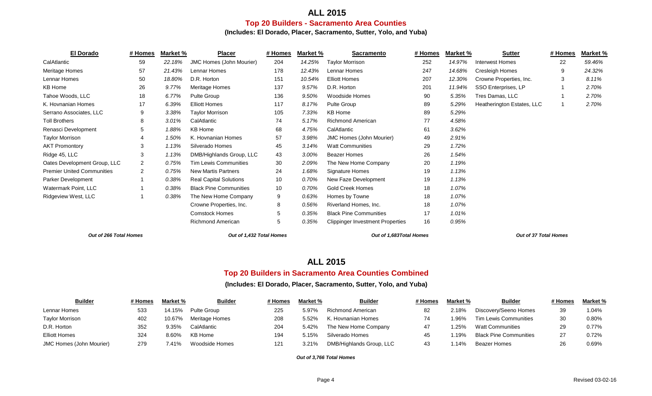## **ALL 2015 Top 20 Builders - Sacramento Area Counties**

**(Includes: El Dorado, Placer, Sacramento, Sutter, Yolo, and Yuba)**

| <b>El Dorado</b>                  | # Homes        | Market % | <b>Placer</b>                 | # Homes | Market % | <b>Sacramento</b>                       |     | Market % | <b>Sutter</b>              | # Homes | Market % |
|-----------------------------------|----------------|----------|-------------------------------|---------|----------|-----------------------------------------|-----|----------|----------------------------|---------|----------|
| CalAtlantic                       | 59             | 22.18%   | JMC Homes (John Mourier)      | 204     | 14.25%   | <b>Taylor Morrison</b>                  | 252 | 14.97%   | Interwest Homes            | 22      | 59.46%   |
| Meritage Homes                    | 57             | 21.43%   | Lennar Homes                  | 178     | 12.43%   | Lennar Homes                            | 247 | 14.68%   | <b>Cresleigh Homes</b>     | 9       | 24.32%   |
| Lennar Homes                      | 50             | 18.80%   | D.R. Horton                   | 151     | 10.54%   | <b>Elliott Homes</b>                    | 207 | 12.30%   | Crowne Properties, Inc.    | 3       | 8.11%    |
| KB Home                           | 26             | 9.77%    | Meritage Homes                | 137     | 9.57%    | D.R. Horton                             | 201 | 11.94%   | SSO Enterprises, LP        |         | 2.70%    |
| Tahoe Woods, LLC                  | 18             | 6.77%    | Pulte Group                   | 136     | 9.50%    | Woodside Homes                          | 90  | 5.35%    | Tres Damas, LLC            |         | 2.70%    |
| K. Hovnanian Homes                | 17             | 6.39%    | <b>Elliott Homes</b>          | 117     | 8.17%    | Pulte Group                             | 89  | 5.29%    | Heatherington Estates, LLC |         | 2.70%    |
| Serrano Associates, LLC           | 9              | 3.38%    | <b>Taylor Morrison</b>        | 105     | 7.33%    | KB Home                                 | 89  | 5.29%    |                            |         |          |
| <b>Toll Brothers</b>              | 8              | 3.01%    | CalAtlantic                   | 74      | 5.17%    | <b>Richmond American</b>                | 77  | 4.58%    |                            |         |          |
| Renasci Development               | 5              | 1.88%    | KB Home                       | 68      | 4.75%    | CalAtlantic                             | 61  | 3.62%    |                            |         |          |
| <b>Taylor Morrison</b>            |                | 1.50%    | K. Hovnanian Homes            | 57      | 3.98%    | <b>JMC Homes (John Mourier)</b>         | 49  | 2.91%    |                            |         |          |
| <b>AKT Promontory</b>             | 3              | 1.13%    | Silverado Homes               | 45      | 3.14%    | <b>Watt Communities</b>                 | 29  | 1.72%    |                            |         |          |
| Ridge 45, LLC                     | 3              | 1.13%    | DMB/Highlands Group, LLC      | 43      | 3.00%    | <b>Beazer Homes</b>                     | 26  | 1.54%    |                            |         |          |
| Oates Development Group, LLC      | $\overline{2}$ | 0.75%    | <b>Tim Lewis Communities</b>  | 30      | 2.09%    | The New Home Company                    | 20  | 1.19%    |                            |         |          |
| <b>Premier United Communities</b> | $\overline{2}$ | 0.75%    | <b>New Martis Partners</b>    | 24      | 1.68%    | Signature Homes                         | 19  | 1.13%    |                            |         |          |
| Parker Development                |                | 0.38%    | <b>Real Capital Solutions</b> | 10      | 0.70%    | New Faze Development                    | 19  | 1.13%    |                            |         |          |
| Watermark Point, LLC              |                | 0.38%    | <b>Black Pine Communities</b> | 10      | 0.70%    | Gold Creek Homes                        | 18  | 1.07%    |                            |         |          |
| Ridgeview West, LLC               |                | 0.38%    | The New Home Company          | 9       | 0.63%    | Homes by Towne                          | 18  | 1.07%    |                            |         |          |
|                                   |                |          | Crowne Properties, Inc.       | 8       | 0.56%    | Riverland Homes, Inc.                   | 18  | 1.07%    |                            |         |          |
|                                   |                |          | <b>Comstock Homes</b>         | 5       | 0.35%    | <b>Black Pine Communities</b>           | 17  | 1.01%    |                            |         |          |
|                                   |                |          | <b>Richmond American</b>      | 5       | 0.35%    | <b>Clippinger Investment Properties</b> | 16  | 0.95%    |                            |         |          |

*Out of 266 Total Homes Out of 1,432 Total Homes Out of 1,683Total Homes Out of 37 Total Homes*

## **ALL 2015**

#### **Top 20 Builders in Sacramento Area Counties Combined**

#### **(Includes: El Dorado, Placer, Sacramento, Sutter, Yolo, and Yuba)**

| <b>Builder</b>                  | # Homes | Market % | <b>Builder</b> | # Homes | Market % | <b>Builder</b>           | # Homes | <u>Market %</u> | <b>Builder</b>                | # Homes | Market % |
|---------------------------------|---------|----------|----------------|---------|----------|--------------------------|---------|-----------------|-------------------------------|---------|----------|
| Lennar Homes                    | 533     | 14.15%   | Pulte Group    | 225     | 5.97%    | Richmond American        | 82      | 2.18%           | Discovery/Seeno Homes         |         | 1.04%    |
| <b>Taylor Morrison</b>          | 402     | 10.67%   | Meritage Homes | 208     | 5.52%    | K. Hovnanian Homes       |         | $^{\circ}$ .96% | <b>Tim Lewis Communities</b>  |         | 0.80%    |
| D.R. Horton                     | 352     | $9.35\%$ | CalAtlantic    | 204     | 5.42%    | The New Home Company     |         | .25%            | Watt Communities              |         | 0.77%    |
| <b>Elliott Homes</b>            | 324     | 8.60%    | KB Home        | 194     | 5.15%    | Silverado Homes          | 45      | .19%            | <b>Black Pine Communities</b> |         | 0.72%    |
| <b>JMC Homes (John Mourier)</b> | 279     | 41%'     | Woodside Homes | 121     | 3.21%    | DMB/Highlands Group, LLC | 43      | .14%            | Beazer Homes                  |         | 0.69%    |

*Out of 3,766 Total Homes*